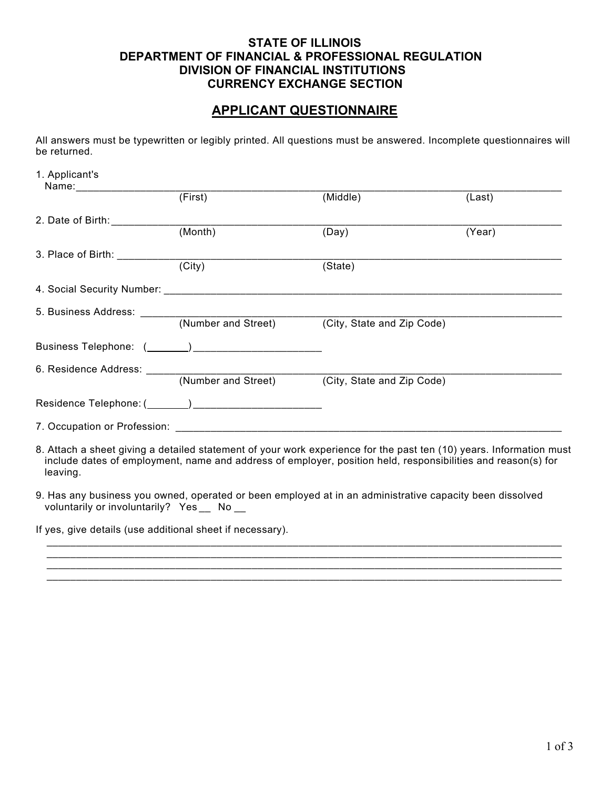## **STATE OF ILLINOIS DEPARTMENT OF FINANCIAL & PROFESSIONAL REGULATION DIVISION OF FINANCIAL INSTITUTIONS CURRENCY EXCHANGE SECTION**

## **APPLICANT QUESTIONNAIRE**

All answers must be typewritten or legibly printed. All questions must be answered. Incomplete questionnaires will be returned.

| 1. Applicant's                  |                             |                                                                                                                                                                                                                                     |        |
|---------------------------------|-----------------------------|-------------------------------------------------------------------------------------------------------------------------------------------------------------------------------------------------------------------------------------|--------|
|                                 | $\overline{(\text{First})}$ | (Middle)                                                                                                                                                                                                                            | (Last) |
| 2. Date of Birth: _____________ |                             |                                                                                                                                                                                                                                     |        |
|                                 | (Month)                     | (Day)                                                                                                                                                                                                                               | (Year) |
| 3. Place of Birth: __________   |                             |                                                                                                                                                                                                                                     |        |
|                                 | $\overline{(City)}$         | (State)                                                                                                                                                                                                                             |        |
|                                 |                             |                                                                                                                                                                                                                                     |        |
|                                 |                             |                                                                                                                                                                                                                                     |        |
|                                 |                             |                                                                                                                                                                                                                                     |        |
|                                 |                             |                                                                                                                                                                                                                                     |        |
|                                 |                             |                                                                                                                                                                                                                                     |        |
|                                 |                             |                                                                                                                                                                                                                                     |        |
|                                 |                             |                                                                                                                                                                                                                                     |        |
|                                 |                             |                                                                                                                                                                                                                                     |        |
| leaving.                        |                             | 8. Attach a sheet giving a detailed statement of your work experience for the past ten (10) years. Information must<br>include dates of employment, name and address of employer, position held, responsibilities and reason(s) for |        |
|                                 |                             | a Has any hughese way wood, aparated ar heap ampleved at in an administrative conseity heap disealysed                                                                                                                              |        |

9. Has any business you owned, operated or been employed at in an administrative capacity been dissolved voluntarily or involuntarily? Yes \_\_ No \_\_

 $\overline{\phantom{a}}$  ,  $\overline{\phantom{a}}$  ,  $\overline{\phantom{a}}$  ,  $\overline{\phantom{a}}$  ,  $\overline{\phantom{a}}$  ,  $\overline{\phantom{a}}$  ,  $\overline{\phantom{a}}$  ,  $\overline{\phantom{a}}$  ,  $\overline{\phantom{a}}$  ,  $\overline{\phantom{a}}$  ,  $\overline{\phantom{a}}$  ,  $\overline{\phantom{a}}$  ,  $\overline{\phantom{a}}$  ,  $\overline{\phantom{a}}$  ,  $\overline{\phantom{a}}$  ,  $\overline{\phantom{a}}$ 

 \_\_\_\_\_\_\_\_\_\_\_\_\_\_\_\_\_\_\_\_\_\_\_\_\_\_\_\_\_\_\_\_\_\_\_\_\_\_\_\_\_\_\_\_\_\_\_\_\_\_\_\_\_\_\_\_\_\_\_\_\_\_\_\_\_\_\_\_\_\_\_\_\_\_\_\_\_\_\_\_\_\_\_\_\_\_\_\_  $\overline{\phantom{a}}$  ,  $\overline{\phantom{a}}$  ,  $\overline{\phantom{a}}$  ,  $\overline{\phantom{a}}$  ,  $\overline{\phantom{a}}$  ,  $\overline{\phantom{a}}$  ,  $\overline{\phantom{a}}$  ,  $\overline{\phantom{a}}$  ,  $\overline{\phantom{a}}$  ,  $\overline{\phantom{a}}$  ,  $\overline{\phantom{a}}$  ,  $\overline{\phantom{a}}$  ,  $\overline{\phantom{a}}$  ,  $\overline{\phantom{a}}$  ,  $\overline{\phantom{a}}$  ,  $\overline{\phantom{a}}$ 

\_\_\_\_\_\_\_\_\_\_\_\_\_\_\_\_\_\_\_\_\_\_\_\_\_\_\_\_\_\_\_\_\_\_\_\_\_\_\_\_\_\_\_\_\_\_\_\_\_\_\_\_\_\_\_\_\_\_\_\_\_\_\_\_\_\_\_\_\_\_\_\_\_\_\_\_\_\_\_\_\_\_\_\_\_\_\_\_

If yes, give details (use additional sheet if necessary).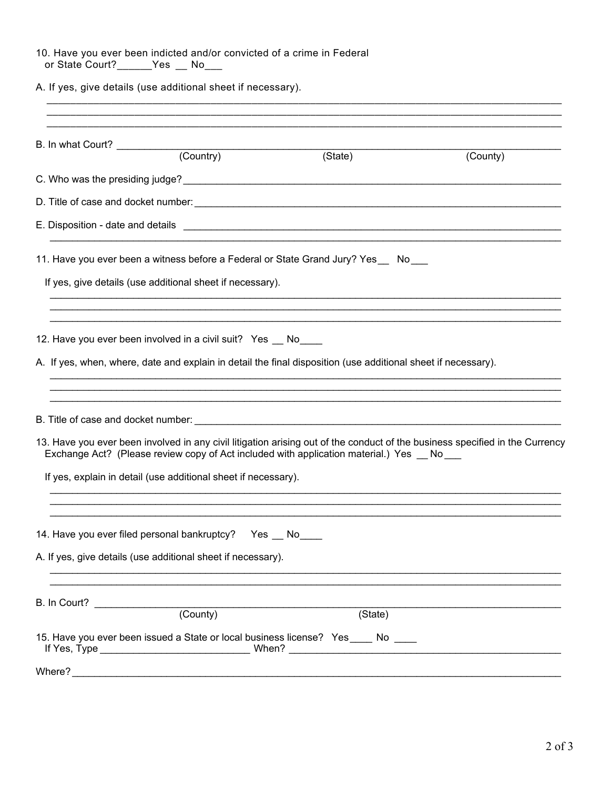| 10. Have you ever been indicted and/or convicted of a crime in Federal |  |  |  |
|------------------------------------------------------------------------|--|--|--|
| or State Court? Yes No                                                 |  |  |  |

A. If yes, give details (use additional sheet if necessary).

| B. In what Court? (Country)                                                                                            | (State)                                                                                                       | (County)                                                                                                                     |
|------------------------------------------------------------------------------------------------------------------------|---------------------------------------------------------------------------------------------------------------|------------------------------------------------------------------------------------------------------------------------------|
|                                                                                                                        |                                                                                                               |                                                                                                                              |
|                                                                                                                        |                                                                                                               |                                                                                                                              |
|                                                                                                                        |                                                                                                               |                                                                                                                              |
|                                                                                                                        | 11. Have you ever been a witness before a Federal or State Grand Jury? Yes__ No__                             |                                                                                                                              |
| If yes, give details (use additional sheet if necessary).                                                              |                                                                                                               |                                                                                                                              |
| 12. Have you ever been involved in a civil suit? Yes _ No___                                                           | A. If yes, when, where, date and explain in detail the final disposition (use additional sheet if necessary). |                                                                                                                              |
|                                                                                                                        |                                                                                                               | 13. Have you ever been involved in any civil litigation arising out of the conduct of the business specified in the Currency |
| If yes, explain in detail (use additional sheet if necessary).                                                         | Exchange Act? (Please review copy of Act included with application material.) Yes __ No __                    |                                                                                                                              |
| 14. Have you ever filed personal bankruptcy? Yes __ No<br>A. If yes, give details (use additional sheet if necessary). |                                                                                                               |                                                                                                                              |
|                                                                                                                        | (State)                                                                                                       |                                                                                                                              |
|                                                                                                                        | 15. Have you ever been issued a State or local business license? Yes ____ No ____                             |                                                                                                                              |
|                                                                                                                        |                                                                                                               |                                                                                                                              |